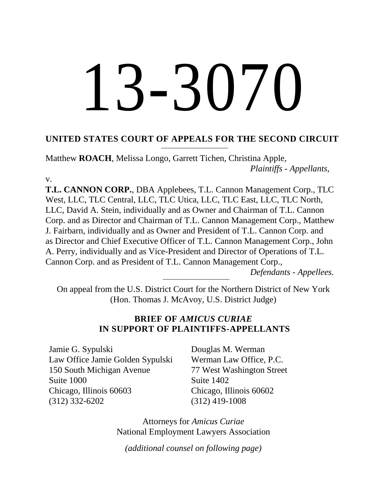# $3-3070$

## **UNITED STATES COURT OF APPEALS FOR THE SECOND CIRCUIT**

Matthew **ROACH**, Melissa Longo, Garrett Tichen, Christina Apple, *Plaintiffs - Appellants*,

v.

**T.L. CANNON CORP.**, DBA Applebees, T.L. Cannon Management Corp., TLC West, LLC, TLC Central, LLC, TLC Utica, LLC, TLC East, LLC, TLC North, LLC, David A. Stein, individually and as Owner and Chairman of T.L. Cannon Corp. and as Director and Chairman of T.L. Cannon Management Corp., Matthew J. Fairbarn, individually and as Owner and President of T.L. Cannon Corp. and as Director and Chief Executive Officer of T.L. Cannon Management Corp., John A. Perry, individually and as Vice-President and Director of Operations of T.L. Cannon Corp. and as President of T.L. Cannon Management Corp.,

*Defendants - Appellees.*

On appeal from the U.S. District Court for the Northern District of New York (Hon. Thomas J. McAvoy, U.S. District Judge)

## **BRIEF OF** *AMICUS CURIAE* **IN SUPPORT OF PLAINTIFFS-APPELLANTS**

Jamie G. Sypulski Law Office Jamie Golden Sypulski 150 South Michigan Avenue Suite 1000 Chicago, Illinois 60603 (312) 332-6202

Douglas M. Werman Werman Law Office, P.C. 77 West Washington Street Suite 1402 Chicago, Illinois 60602 ( (312) 419-1008

Attorneys for *Amicus Curiae* National Employment Lawyers Association

*(additional counsel on following page)*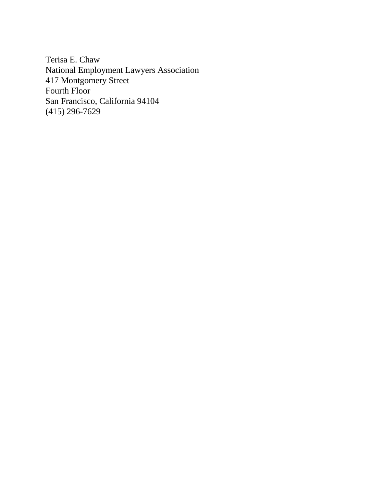Terisa E. Chaw National Employment Lawyers Association 417 Montgomery Street Fourth Floor San Francisco, California 94104 (415) 296-7629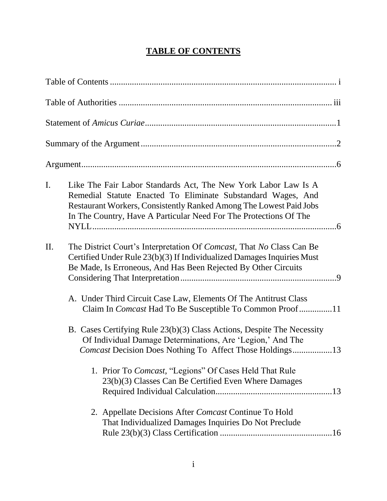## **TABLE OF CONTENTS**

| $\mathbf{I}$ . | Like The Fair Labor Standards Act, The New York Labor Law Is A<br>Remedial Statute Enacted To Eliminate Substandard Wages, And<br>Restaurant Workers, Consistently Ranked Among The Lowest Paid Jobs<br>In The Country, Have A Particular Need For The Protections Of The |  |
|----------------|---------------------------------------------------------------------------------------------------------------------------------------------------------------------------------------------------------------------------------------------------------------------------|--|
| II.            | The District Court's Interpretation Of <i>Comcast</i> , That No Class Can Be<br>Certified Under Rule 23(b)(3) If Individualized Damages Inquiries Must<br>Be Made, Is Erroneous, And Has Been Rejected By Other Circuits                                                  |  |
|                | A. Under Third Circuit Case Law, Elements Of The Antitrust Class<br>Claim In <i>Comcast</i> Had To Be Susceptible To Common Proof11                                                                                                                                       |  |
|                | B. Cases Certifying Rule 23(b)(3) Class Actions, Despite The Necessity<br>Of Individual Damage Determinations, Are 'Legion,' And The<br>Comcast Decision Does Nothing To Affect Those Holdings13                                                                          |  |
|                | 1. Prior To Comcast, "Legions" Of Cases Held That Rule<br>23(b)(3) Classes Can Be Certified Even Where Damages                                                                                                                                                            |  |
|                | 2. Appellate Decisions After Comcast Continue To Hold<br>That Individualized Damages Inquiries Do Not Preclude                                                                                                                                                            |  |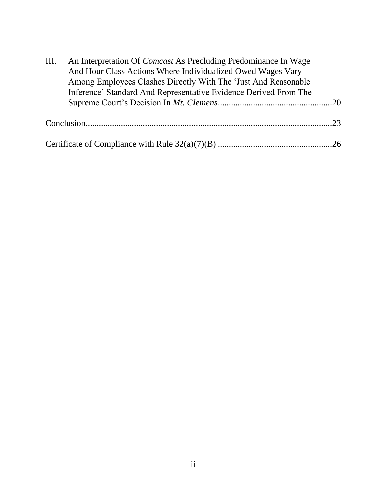| III. | An Interpretation Of <i>Comcast</i> As Precluding Predominance In Wage |  |
|------|------------------------------------------------------------------------|--|
|      | And Hour Class Actions Where Individualized Owed Wages Vary            |  |
|      | Among Employees Clashes Directly With The 'Just And Reasonable'        |  |
|      | Inference' Standard And Representative Evidence Derived From The       |  |
|      |                                                                        |  |
|      |                                                                        |  |
|      |                                                                        |  |
|      |                                                                        |  |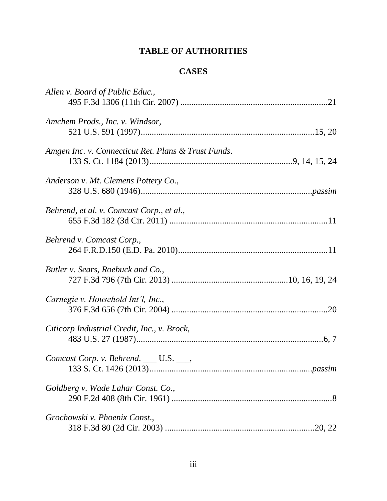# **TABLE OF AUTHORITIES**

## **CASES**

| Allen v. Board of Public Educ.,                     |  |
|-----------------------------------------------------|--|
|                                                     |  |
| Amchem Prods., Inc. v. Windsor,                     |  |
|                                                     |  |
| Amgen Inc. v. Connecticut Ret. Plans & Trust Funds. |  |
|                                                     |  |
| Anderson v. Mt. Clemens Pottery Co.,                |  |
|                                                     |  |
| Behrend, et al. v. Comcast Corp., et al.,           |  |
|                                                     |  |
| Behrend v. Comcast Corp.,                           |  |
|                                                     |  |
| Butler v. Sears, Roebuck and Co.,                   |  |
|                                                     |  |
| Carnegie v. Household Int'l, Inc.,                  |  |
|                                                     |  |
| Citicorp Industrial Credit, Inc., v. Brock,         |  |
|                                                     |  |
| Comcast Corp. v. Behrend. ___ U.S. ___,             |  |
|                                                     |  |
| Goldberg v. Wade Lahar Const. Co.,                  |  |
|                                                     |  |
| Grochowski v. Phoenix Const.,                       |  |
|                                                     |  |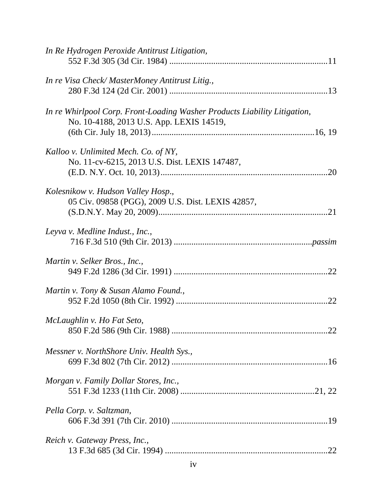| In Re Hydrogen Peroxide Antitrust Litigation,                                                                         |
|-----------------------------------------------------------------------------------------------------------------------|
| In re Visa Check/MasterMoney Antitrust Litig.,                                                                        |
| In re Whirlpool Corp. Front-Loading Washer Products Liability Litigation,<br>No. 10-4188, 2013 U.S. App. LEXIS 14519, |
| Kalloo v. Unlimited Mech. Co. of NY,<br>No. 11-cv-6215, 2013 U.S. Dist. LEXIS 147487,                                 |
| Kolesnikow v. Hudson Valley Hosp.,<br>05 Civ. 09858 (PGG), 2009 U.S. Dist. LEXIS 42857,                               |
| Leyva v. Medline Indust., Inc.,                                                                                       |
| Martin v. Selker Bros., Inc.,                                                                                         |
| Martin v. Tony & Susan Alamo Found.,                                                                                  |
| McLaughlin v. Ho Fat Seto,<br>22                                                                                      |
| Messner v. NorthShore Univ. Health Sys.,                                                                              |
| Morgan v. Family Dollar Stores, Inc.,                                                                                 |
| Pella Corp. v. Saltzman,                                                                                              |
| Reich v. Gateway Press, Inc.,                                                                                         |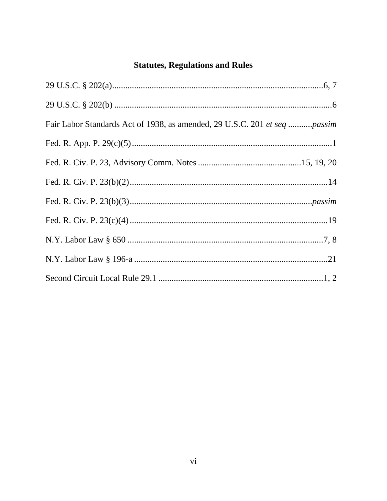# **Statutes, Regulations and Rules**

| Fair Labor Standards Act of 1938, as amended, 29 U.S.C. 201 et seq passim |  |
|---------------------------------------------------------------------------|--|
|                                                                           |  |
|                                                                           |  |
|                                                                           |  |
|                                                                           |  |
|                                                                           |  |
|                                                                           |  |
|                                                                           |  |
|                                                                           |  |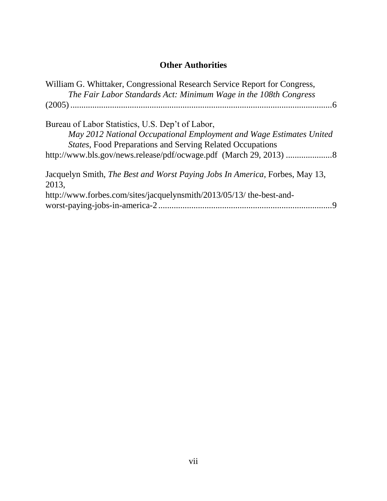# **Other Authorities**

| William G. Whittaker, Congressional Research Service Report for Congress,<br>The Fair Labor Standards Act: Minimum Wage in the 108th Congress |  |
|-----------------------------------------------------------------------------------------------------------------------------------------------|--|
|                                                                                                                                               |  |
| Bureau of Labor Statistics, U.S. Dep't of Labor,                                                                                              |  |
| May 2012 National Occupational Employment and Wage Estimates United                                                                           |  |
| <b>States, Food Preparations and Serving Related Occupations</b>                                                                              |  |
| http://www.bls.gov/news.release/pdf/ocwage.pdf (March 29, 2013) 8                                                                             |  |
| Jacquelyn Smith, <i>The Best and Worst Paying Jobs In America</i> , Forbes, May 13,                                                           |  |
| 2013,                                                                                                                                         |  |
| http://www.forbes.com/sites/jacquelynsmith/2013/05/13/ the-best-and-                                                                          |  |
|                                                                                                                                               |  |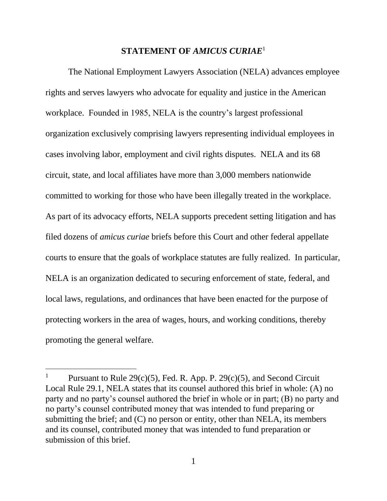#### **STATEMENT OF** *AMICUS CURIAE*<sup>1</sup>

The National Employment Lawyers Association (NELA) advances employee rights and serves lawyers who advocate for equality and justice in the American workplace. Founded in 1985, NELA is the country's largest professional organization exclusively comprising lawyers representing individual employees in cases involving labor, employment and civil rights disputes. NELA and its 68 circuit, state, and local affiliates have more than 3,000 members nationwide committed to working for those who have been illegally treated in the workplace. As part of its advocacy efforts, NELA supports precedent setting litigation and has filed dozens of *amicus curiae* briefs before this Court and other federal appellate courts to ensure that the goals of workplace statutes are fully realized. In particular, NELA is an organization dedicated to securing enforcement of state, federal, and local laws, regulations, and ordinances that have been enacted for the purpose of protecting workers in the area of wages, hours, and working conditions, thereby promoting the general welfare.

 $\overline{a}$ 

Pursuant to Rule  $29(c)(5)$ , Fed. R. App. P.  $29(c)(5)$ , and Second Circuit Local Rule 29.1, NELA states that its counsel authored this brief in whole: (A) no party and no party's counsel authored the brief in whole or in part; (B) no party and no party's counsel contributed money that was intended to fund preparing or submitting the brief; and (C) no person or entity, other than NELA, its members and its counsel, contributed money that was intended to fund preparation or submission of this brief.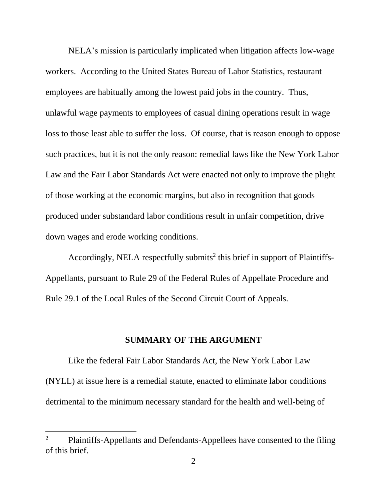NELA's mission is particularly implicated when litigation affects low-wage workers. According to the United States Bureau of Labor Statistics, restaurant employees are habitually among the lowest paid jobs in the country. Thus, unlawful wage payments to employees of casual dining operations result in wage loss to those least able to suffer the loss. Of course, that is reason enough to oppose such practices, but it is not the only reason: remedial laws like the New York Labor Law and the Fair Labor Standards Act were enacted not only to improve the plight of those working at the economic margins, but also in recognition that goods produced under substandard labor conditions result in unfair competition, drive down wages and erode working conditions.

Accordingly, NELA respectfully submits 2 this brief in support of Plaintiffs-Appellants, pursuant to Rule 29 of the Federal Rules of Appellate Procedure and Rule 29.1 of the Local Rules of the Second Circuit Court of Appeals.

#### **SUMMARY OF THE ARGUMENT**

Like the federal Fair Labor Standards Act, the New York Labor Law (NYLL) at issue here is a remedial statute, enacted to eliminate labor conditions detrimental to the minimum necessary standard for the health and well-being of

 $\overline{a}$ 

<sup>&</sup>lt;sup>2</sup> Plaintiffs-Appellants and Defendants-Appellees have consented to the filing of this brief.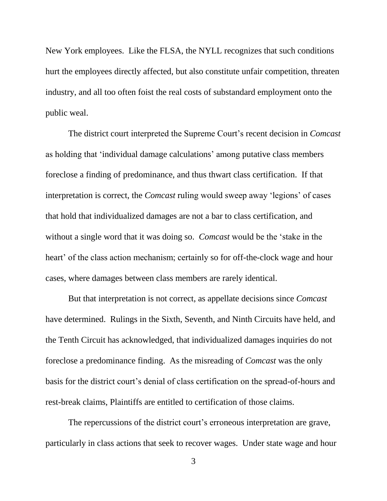New York employees. Like the FLSA, the NYLL recognizes that such conditions hurt the employees directly affected, but also constitute unfair competition, threaten industry, and all too often foist the real costs of substandard employment onto the public weal.

The district court interpreted the Supreme Court's recent decision in *Comcast*  as holding that 'individual damage calculations' among putative class members foreclose a finding of predominance, and thus thwart class certification. If that interpretation is correct, the *Comcast* ruling would sweep away 'legions' of cases that hold that individualized damages are not a bar to class certification, and without a single word that it was doing so. *Comcast* would be the 'stake in the heart' of the class action mechanism; certainly so for off-the-clock wage and hour cases, where damages between class members are rarely identical.

But that interpretation is not correct, as appellate decisions since *Comcast* have determined. Rulings in the Sixth, Seventh, and Ninth Circuits have held, and the Tenth Circuit has acknowledged, that individualized damages inquiries do not foreclose a predominance finding. As the misreading of *Comcast* was the only basis for the district court's denial of class certification on the spread-of-hours and rest-break claims, Plaintiffs are entitled to certification of those claims.

The repercussions of the district court's erroneous interpretation are grave, particularly in class actions that seek to recover wages. Under state wage and hour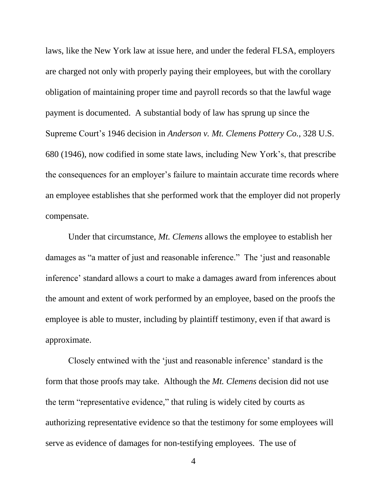laws, like the New York law at issue here, and under the federal FLSA, employers are charged not only with properly paying their employees, but with the corollary obligation of maintaining proper time and payroll records so that the lawful wage payment is documented. A substantial body of law has sprung up since the Supreme Court's 1946 decision in *Anderson v. Mt. Clemens Pottery Co.,* 328 U.S. 680 (1946), now codified in some state laws, including New York's, that prescribe the consequences for an employer's failure to maintain accurate time records where an employee establishes that she performed work that the employer did not properly compensate.

Under that circumstance, *Mt. Clemens* allows the employee to establish her damages as "a matter of just and reasonable inference." The 'just and reasonable inference' standard allows a court to make a damages award from inferences about the amount and extent of work performed by an employee, based on the proofs the employee is able to muster, including by plaintiff testimony, even if that award is approximate.

Closely entwined with the 'just and reasonable inference' standard is the form that those proofs may take. Although the *Mt. Clemens* decision did not use the term "representative evidence," that ruling is widely cited by courts as authorizing representative evidence so that the testimony for some employees will serve as evidence of damages for non-testifying employees. The use of

4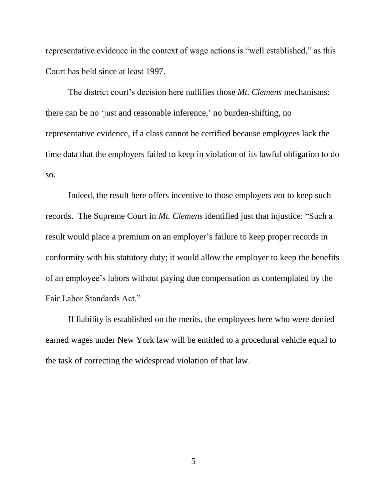representative evidence in the context of wage actions is "well established," as this Court has held since at least 1997.

The district court's decision here nullifies those *Mt. Clemens* mechanisms: there can be no 'just and reasonable inference,' no burden-shifting, no representative evidence, if a class cannot be certified because employees lack the time data that the employers failed to keep in violation of its lawful obligation to do so.

Indeed, the result here offers incentive to those employers *not* to keep such records. The Supreme Court in *Mt. Clemens* identified just that injustice: "Such a result would place a premium on an employer's failure to keep proper records in conformity with his statutory duty; it would allow the employer to keep the benefits of an employee's labors without paying due compensation as contemplated by the Fair Labor Standards Act."

If liability is established on the merits, the employees here who were denied earned wages under New York law will be entitled to a procedural vehicle equal to the task of correcting the widespread violation of that law.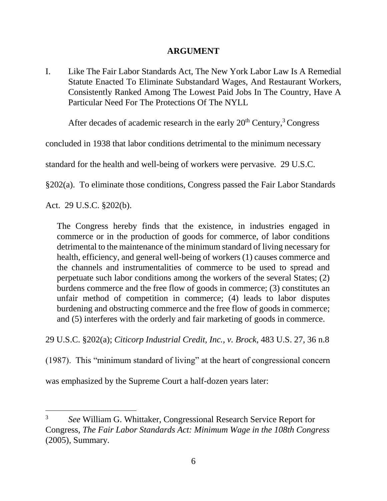#### **ARGUMENT**

I. Like The Fair Labor Standards Act, The New York Labor Law Is A Remedial Statute Enacted To Eliminate Substandard Wages, And Restaurant Workers, Consistently Ranked Among The Lowest Paid Jobs In The Country, Have A Particular Need For The Protections Of The NYLL

After decades of academic research in the early  $20<sup>th</sup>$  Century,<sup>3</sup> Congress

concluded in 1938 that labor conditions detrimental to the minimum necessary

standard for the health and well-being of workers were pervasive. 29 U.S.C.

§202(a). To eliminate those conditions, Congress passed the Fair Labor Standards

Act. 29 U.S.C. §202(b).

 $\overline{a}$ 

The Congress hereby finds that the existence, in industries engaged in commerce or in the production of goods for commerce, of labor conditions detrimental to the maintenance of the minimum standard of living necessary for health, efficiency, and general well-being of workers (1) causes commerce and the channels and instrumentalities of commerce to be used to spread and perpetuate such labor conditions among the workers of the several States; (2) burdens commerce and the free flow of goods in commerce; (3) constitutes an unfair method of competition in commerce; (4) leads to labor disputes burdening and obstructing commerce and the free flow of goods in commerce; and (5) interferes with the orderly and fair marketing of goods in commerce.

29 U.S.C. §202(a); *Citicorp Industrial Credit, Inc., v. Brock*, 483 U.S. 27, 36 n.8

(1987). This "minimum standard of living" at the heart of congressional concern

was emphasized by the Supreme Court a half-dozen years later:

<sup>3</sup> *See* William G. Whittaker, Congressional Research Service Report for Congress, *The Fair Labor Standards Act: Minimum Wage in the 108th Congress* (2005), Summary.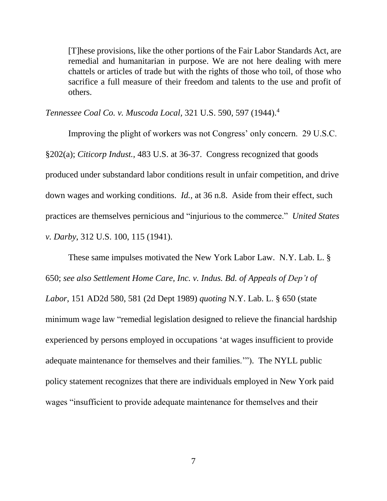[T]hese provisions, like the other portions of the Fair Labor Standards Act, are remedial and humanitarian in purpose. We are not here dealing with mere chattels or articles of trade but with the rights of those who toil, of those who sacrifice a full measure of their freedom and talents to the use and profit of others.

*Tennessee Coal Co. v. Muscoda Local,* 321 U.S. 590, 597 (1944).<sup>4</sup>

Improving the plight of workers was not Congress' only concern. 29 U.S.C. §202(a); *Citicorp Indust.,* 483 U.S. at 36-37. Congress recognized that goods produced under substandard labor conditions result in unfair competition, and drive down wages and working conditions. *Id.,* at 36 n.8. Aside from their effect, such practices are themselves pernicious and "injurious to the commerce." *United States v. Darby*, 312 U.S. 100, 115 (1941).

These same impulses motivated the New York Labor Law. N.Y. Lab. L. § 650; *see also Settlement Home Care, Inc. v. Indus. Bd. of Appeals of Dep't of Labor*, 151 AD2d 580, 581 (2d Dept 1989) *quoting* N.Y. Lab. L. § 650 (state minimum wage law "remedial legislation designed to relieve the financial hardship experienced by persons employed in occupations 'at wages insufficient to provide adequate maintenance for themselves and their families.'"). The NYLL public policy statement recognizes that there are individuals employed in New York paid wages "insufficient to provide adequate maintenance for themselves and their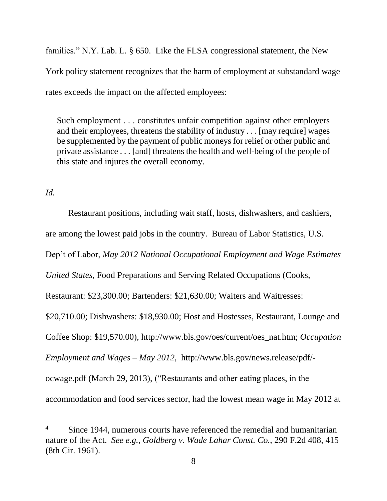families." N.Y. Lab. L. § 650. Like the FLSA congressional statement, the New York policy statement recognizes that the harm of employment at substandard wage rates exceeds the impact on the affected employees:

Such employment . . . constitutes unfair competition against other employers and their employees, threatens the stability of industry . . . [may require] wages be supplemented by the payment of public moneys for relief or other public and private assistance . . . [and] threatens the health and well-being of the people of this state and injures the overall economy.

#### *Id.*

 $\overline{a}$ 

Restaurant positions, including wait staff, hosts, dishwashers, and cashiers, are among the lowest paid jobs in the country. Bureau of Labor Statistics, U.S. Dep't of Labor, *May 2012 National Occupational Employment and Wage Estimates United States*, Food Preparations and Serving Related Occupations (Cooks, Restaurant: \$23,300.00; Bartenders: \$21,630.00; Waiters and Waitresses: \$20,710.00; Dishwashers: \$18,930.00; Host and Hostesses, Restaurant, Lounge and Coffee Shop: \$19,570.00), http://www.bls.gov/oes/current/oes\_nat.htm; *Occupation Employment and Wages – May 2012,* http://www.bls.gov/news.release/pdf/ ocwage.pdf (March 29, 2013), ("Restaurants and other eating places, in the accommodation and food services sector, had the lowest mean wage in May 2012 at

Since 1944, numerous courts have referenced the remedial and humanitarian nature of the Act. *See e.g.*, *Goldberg v. Wade Lahar Const. Co.*, 290 F.2d 408, 415 (8th Cir. 1961).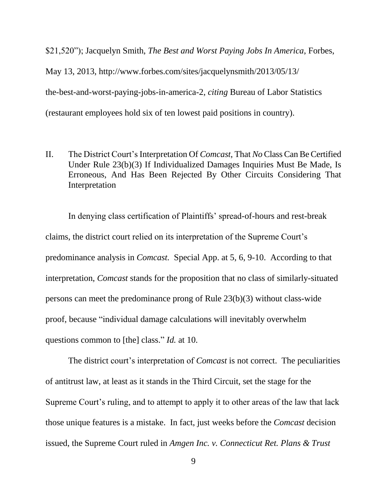\$21,520"); Jacquelyn Smith, *The Best and Worst Paying Jobs In America*, Forbes, May 13, 2013, http://www.forbes.com/sites/jacquelynsmith/2013/05/13/ the-best-and-worst-paying-jobs-in-america-2, *citing* Bureau of Labor Statistics

(restaurant employees hold six of ten lowest paid positions in country).

II. The District Court's Interpretation Of *Comcast*, That *No* Class Can Be Certified Under Rule 23(b)(3) If Individualized Damages Inquiries Must Be Made, Is Erroneous, And Has Been Rejected By Other Circuits Considering That Interpretation

In denying class certification of Plaintiffs' spread-of-hours and rest-break claims, the district court relied on its interpretation of the Supreme Court's predominance analysis in *Comcast.* Special App. at 5, 6, 9-10. According to that interpretation, *Comcast* stands for the proposition that no class of similarly-situated persons can meet the predominance prong of Rule 23(b)(3) without class-wide proof, because "individual damage calculations will inevitably overwhelm questions common to [the] class." *Id.* at 10.

The district court's interpretation of *Comcast* is not correct. The peculiarities of antitrust law, at least as it stands in the Third Circuit, set the stage for the Supreme Court's ruling, and to attempt to apply it to other areas of the law that lack those unique features is a mistake. In fact, just weeks before the *Comcast* decision issued, the Supreme Court ruled in *Amgen Inc. v. Connecticut Ret. Plans & Trust*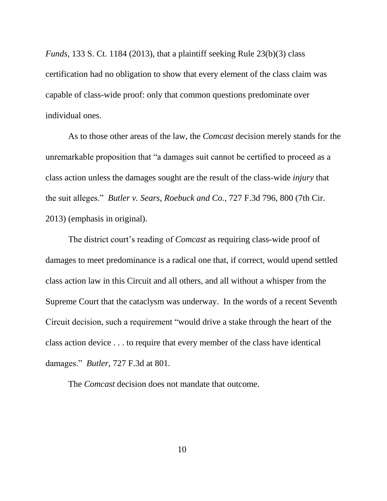*Funds*, 133 S. Ct. 1184 (2013), that a plaintiff seeking Rule 23(b)(3) class certification had no obligation to show that every element of the class claim was capable of class-wide proof: only that common questions predominate over individual ones.

As to those other areas of the law, the *Comcast* decision merely stands for the unremarkable proposition that "a damages suit cannot be certified to proceed as a class action unless the damages sought are the result of the class-wide *injury* that the suit alleges." *Butler v. Sears, Roebuck and Co.,* 727 F.3d 796, 800 (7th Cir. 2013) (emphasis in original).

The district court's reading of *Comcast* as requiring class-wide proof of damages to meet predominance is a radical one that, if correct, would upend settled class action law in this Circuit and all others, and all without a whisper from the Supreme Court that the cataclysm was underway. In the words of a recent Seventh Circuit decision, such a requirement "would drive a stake through the heart of the class action device . . . to require that every member of the class have identical damages." *Butler,* 727 F.3d at 801.

The *Comcast* decision does not mandate that outcome.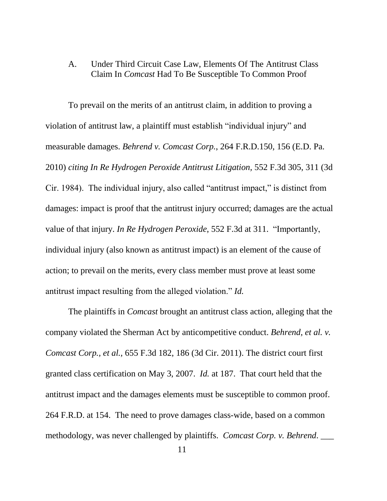#### A. Under Third Circuit Case Law, Elements Of The Antitrust Class Claim In *Comcast* Had To Be Susceptible To Common Proof

To prevail on the merits of an antitrust claim, in addition to proving a violation of antitrust law, a plaintiff must establish "individual injury" and measurable damages. *Behrend v. Comcast Corp.*, 264 F.R.D.150, 156 (E.D. Pa. 2010) *citing In Re Hydrogen Peroxide Antitrust Litigation,* 552 F.3d 305, 311 (3d Cir. 1984). The individual injury, also called "antitrust impact," is distinct from damages: impact is proof that the antitrust injury occurred; damages are the actual value of that injury. *In Re Hydrogen Peroxide*, 552 F.3d at 311. "Importantly, individual injury (also known as antitrust impact) is an element of the cause of action; to prevail on the merits, every class member must prove at least some antitrust impact resulting from the alleged violation." *Id.*

The plaintiffs in *Comcast* brought an antitrust class action, alleging that the company violated the Sherman Act by anticompetitive conduct. *Behrend, et al. v. Comcast Corp., et al.,* 655 F.3d 182, 186 (3d Cir. 2011). The district court first granted class certification on May 3, 2007. *Id.* at 187. That court held that the antitrust impact and the damages elements must be susceptible to common proof. 264 F.R.D. at 154. The need to prove damages class-wide, based on a common methodology, was never challenged by plaintiffs. *Comcast Corp. v. Behrend*.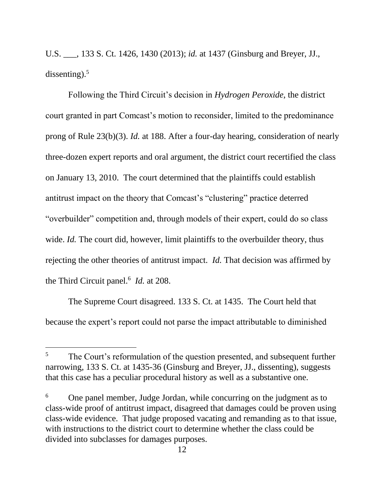U.S. \_\_\_, 133 S. Ct. 1426, 1430 (2013); *id.* at 1437 (Ginsburg and Breyer, JJ., dissenting). 5

Following the Third Circuit's decision in *Hydrogen Peroxide*, the district court granted in part Comcast's motion to reconsider, limited to the predominance prong of Rule 23(b)(3). *Id.* at 188. After a four-day hearing, consideration of nearly three-dozen expert reports and oral argument, the district court recertified the class on January 13, 2010. The court determined that the plaintiffs could establish antitrust impact on the theory that Comcast's "clustering" practice deterred "overbuilder" competition and, through models of their expert, could do so class wide. *Id.* The court did, however, limit plaintiffs to the overbuilder theory, thus rejecting the other theories of antitrust impact. *Id.* That decision was affirmed by the Third Circuit panel.<sup>6</sup> *Id.* at 208.

The Supreme Court disagreed. 133 S. Ct. at 1435. The Court held that because the expert's report could not parse the impact attributable to diminished

 $\overline{a}$ 

<sup>&</sup>lt;sup>5</sup> The Court's reformulation of the question presented, and subsequent further narrowing, 133 S. Ct. at 1435-36 (Ginsburg and Breyer, JJ., dissenting), suggests that this case has a peculiar procedural history as well as a substantive one.

<sup>&</sup>lt;sup>6</sup> One panel member, Judge Jordan, while concurring on the judgment as to class-wide proof of antitrust impact, disagreed that damages could be proven using class-wide evidence. That judge proposed vacating and remanding as to that issue, with instructions to the district court to determine whether the class could be divided into subclasses for damages purposes.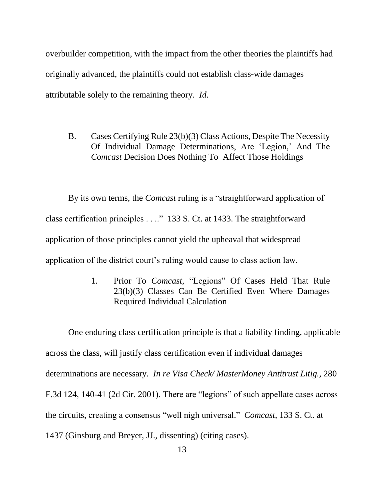overbuilder competition, with the impact from the other theories the plaintiffs had originally advanced, the plaintiffs could not establish class-wide damages attributable solely to the remaining theory. *Id.*

B. Cases Certifying Rule 23(b)(3) Class Actions, Despite The Necessity Of Individual Damage Determinations, Are 'Legion,' And The *Comcast* Decision Does Nothing To Affect Those Holdings

By its own terms, the *Comcast* ruling is a "straightforward application of class certification principles . . .." 133 S. Ct. at 1433. The straightforward application of those principles cannot yield the upheaval that widespread application of the district court's ruling would cause to class action law.

> 1. Prior To *Comcast,* "Legions" Of Cases Held That Rule 23(b)(3) Classes Can Be Certified Even Where Damages Required Individual Calculation

One enduring class certification principle is that a liability finding, applicable across the class, will justify class certification even if individual damages determinations are necessary. *In re Visa Check/ MasterMoney Antitrust Litig.,* 280 F.3d 124, 140-41 (2d Cir. 2001). There are "legions" of such appellate cases across the circuits, creating a consensus "well nigh universal." *Comcast*, 133 S. Ct. at 1437 (Ginsburg and Breyer, JJ., dissenting) (citing cases).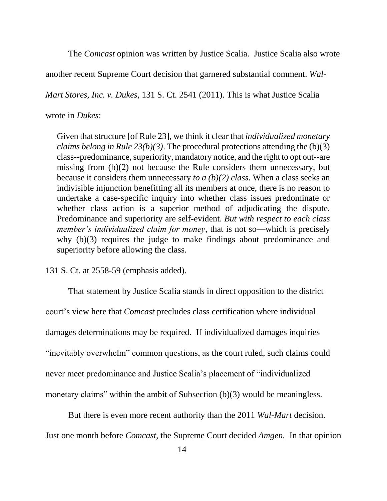The *Comcast* opinion was written by Justice Scalia. Justice Scalia also wrote

another recent Supreme Court decision that garnered substantial comment. *Wal-*

*Mart Stores, Inc. v. Dukes*, 131 S. Ct. 2541 (2011). This is what Justice Scalia

#### wrote in *Dukes*:

Given that structure [of Rule 23], we think it clear that *individualized monetary claims belong in Rule 23(b)(3)*. The procedural protections attending the (b)(3) class--predominance, superiority, mandatory notice, and the right to opt out--are missing from (b)(2) not because the Rule considers them unnecessary, but because it considers them unnecessary *to a (b)(2) class*. When a class seeks an indivisible injunction benefitting all its members at once, there is no reason to undertake a case-specific inquiry into whether class issues predominate or whether class action is a superior method of adjudicating the dispute. Predominance and superiority are self-evident. *But with respect to each class member's individualized claim for money*, that is not so—which is precisely why (b)(3) requires the judge to make findings about predominance and superiority before allowing the class.

131 S. Ct. at 2558-59 (emphasis added).

That statement by Justice Scalia stands in direct opposition to the district court's view here that *Comcast* precludes class certification where individual damages determinations may be required. If individualized damages inquiries "inevitably overwhelm" common questions, as the court ruled, such claims could never meet predominance and Justice Scalia's placement of "individualized monetary claims" within the ambit of Subsection (b)(3) would be meaningless.

But there is even more recent authority than the 2011 *Wal-Mart* decision. Just one month before *Comcast*, the Supreme Court decided *Amgen.* In that opinion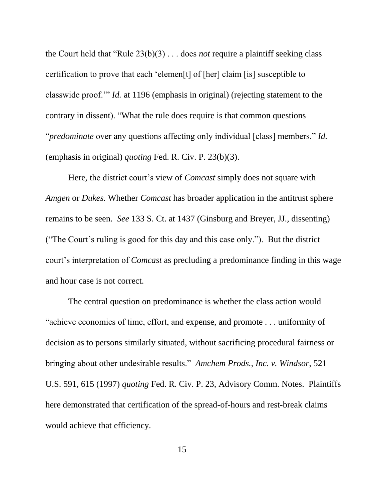the Court held that "Rule 23(b)(3) . . . does *not* require a plaintiff seeking class certification to prove that each 'elemen[t] of [her] claim [is] susceptible to classwide proof.'" *Id.* at 1196 (emphasis in original) (rejecting statement to the contrary in dissent). "What the rule does require is that common questions "*predominate* over any questions affecting only individual [class] members." *Id.* (emphasis in original) *quoting* Fed. R. Civ. P. 23(b)(3).

Here, the district court's view of *Comcast* simply does not square with *Amgen* or *Dukes.* Whether *Comcast* has broader application in the antitrust sphere remains to be seen. *See* 133 S. Ct. at 1437 (Ginsburg and Breyer, JJ., dissenting) ("The Court's ruling is good for this day and this case only."). But the district court's interpretation of *Comcast* as precluding a predominance finding in this wage and hour case is not correct.

The central question on predominance is whether the class action would "achieve economies of time, effort, and expense, and promote . . . uniformity of decision as to persons similarly situated, without sacrificing procedural fairness or bringing about other undesirable results." *Amchem Prods., Inc. v. Windsor*, 521 U.S. 591, 615 (1997) *quoting* Fed. R. Civ. P. 23, Advisory Comm. Notes. Plaintiffs here demonstrated that certification of the spread-of-hours and rest-break claims would achieve that efficiency.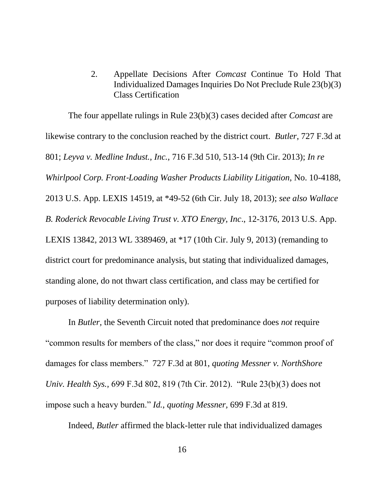2. Appellate Decisions After *Comcast* Continue To Hold That Individualized Damages Inquiries Do Not Preclude Rule 23(b)(3) Class Certification

The four appellate rulings in Rule 23(b)(3) cases decided after *Comcast* are likewise contrary to the conclusion reached by the district court. *Butler*, 727 F.3d at 801; *Leyva v. Medline Indust., Inc.*, 716 F.3d 510, 513-14 (9th Cir. 2013); *In re Whirlpool Corp. Front*‐*Loading Washer Products Liability Litigation*, No. 10-4188, 2013 U.S. App. LEXIS 14519, at \*49-52 (6th Cir. July 18, 2013); *see also Wallace B. Roderick Revocable Living Trust v. XTO Energy, Inc*., 12-3176, 2013 U.S. App. LEXIS 13842, 2013 WL 3389469, at \*17 (10th Cir. July 9, 2013) (remanding to district court for predominance analysis, but stating that individualized damages, standing alone, do not thwart class certification, and class may be certified for purposes of liability determination only).

In *Butler,* the Seventh Circuit noted that predominance does *not* require "common results for members of the class," nor does it require "common proof of damages for class members." 727 F.3d at 801, *quoting Messner v. NorthShore Univ. Health Sys.,* 699 F.3d 802, 819 (7th Cir. 2012). "Rule 23(b)(3) does not impose such a heavy burden." *Id.*, *quoting Messner,* 699 F.3d at 819.

Indeed, *Butler* affirmed the black-letter rule that individualized damages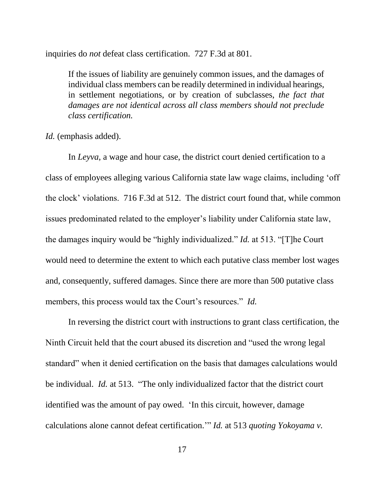inquiries do *not* defeat class certification. 727 F.3d at 801.

If the issues of liability are genuinely common issues, and the damages of individual class members can be readily determined in individual hearings, in settlement negotiations, or by creation of subclasses, *the fact that damages are not identical across all class members should not preclude class certification.*

*Id.* (emphasis added).

In *Leyva*, a wage and hour case, the district court denied certification to a class of employees alleging various California state law wage claims, including 'off the clock' violations. 716 F.3d at 512. The district court found that, while common issues predominated related to the employer's liability under California state law, the damages inquiry would be "highly individualized." *Id.* at 513. "[T]he Court would need to determine the extent to which each putative class member lost wages and, consequently, suffered damages. Since there are more than 500 putative class members, this process would tax the Court's resources." *Id.* 

In reversing the district court with instructions to grant class certification, the Ninth Circuit held that the court abused its discretion and "used the wrong legal standard" when it denied certification on the basis that damages calculations would be individual. *Id.* at 513. "The only individualized factor that the district court identified was the amount of pay owed. 'In this circuit, however, damage calculations alone cannot defeat certification.'" *Id.* at 513 *quoting Yokoyama v.*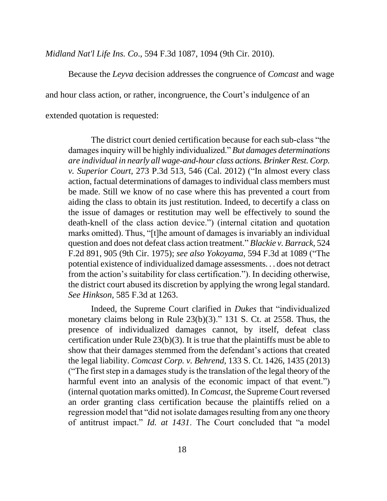*Midland Nat'l Life Ins. Co*., 594 F.3d 1087, 1094 (9th Cir. 2010).

Because the *Leyva* decision addresses the congruence of *Comcast* and wage

and hour class action, or rather, incongruence, the Court's indulgence of an

extended quotation is requested:

The district court denied certification because for each sub-class "the damages inquiry will be highly individualized." *But damages determinations are individual in nearly all wage-and-hour class actions. Brinker Rest. Corp. v. Superior Court,* 273 P.3d 513, 546 (Cal. 2012) ("In almost every class action, factual determinations of damages to individual class members must be made. Still we know of no case where this has prevented a court from aiding the class to obtain its just restitution. Indeed, to decertify a class on the issue of damages or restitution may well be effectively to sound the death-knell of the class action device.") (internal citation and quotation marks omitted). Thus, "[t]he amount of damages is invariably an individual question and does not defeat class action treatment." *Blackie v. Barrack,* 524 F.2d 891, 905 (9th Cir. 1975); *see also Yokoyama,* 594 F.3d at 1089 ("The potential existence of individualized damage assessments. . . does not detract from the action's suitability for class certification."). In deciding otherwise, the district court abused its discretion by applying the wrong legal standard. *See Hinkson,* 585 F.3d at 1263.

Indeed, the Supreme Court clarified in *Dukes* that "individualized monetary claims belong in Rule 23(b)(3)." 131 S. Ct. at 2558. Thus, the presence of individualized damages cannot, by itself, defeat class certification under Rule 23(b)(3). It is true that the plaintiffs must be able to show that their damages stemmed from the defendant's actions that created the legal liability. *Comcast Corp. v. Behrend,* 133 S. Ct. 1426, 1435 (2013) ("The first step in a damages study is the translation of the legal theory of the harmful event into an analysis of the economic impact of that event.") (internal quotation marks omitted). In *Comcast*, the Supreme Court reversed an order granting class certification because the plaintiffs relied on a regression model that "did not isolate damages resulting from any one theory of antitrust impact." *Id. at 1431*. The Court concluded that "a model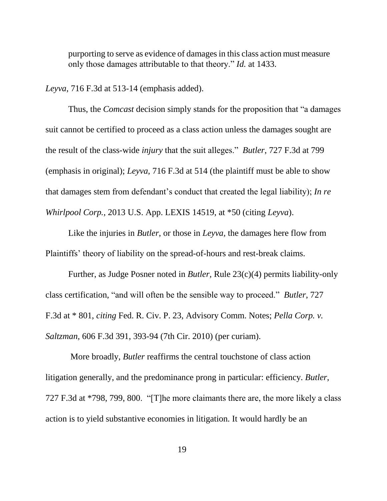purporting to serve as evidence of damages in this class action must measure only those damages attributable to that theory." *Id.* at 1433.

*Leyva*, 716 F.3d at 513-14 (emphasis added).

Thus, the *Comcast* decision simply stands for the proposition that "a damages suit cannot be certified to proceed as a class action unless the damages sought are the result of the class-wide *injury* that the suit alleges." *Butler*, 727 F.3d at 799 (emphasis in original); *Leyva*, 716 F.3d at 514 (the plaintiff must be able to show that damages stem from defendant's conduct that created the legal liability); *In re Whirlpool Corp.,* 2013 U.S. App. LEXIS 14519, at \*50 (citing *Leyva*).

Like the injuries in *Butler*, or those in *Leyva,* the damages here flow from Plaintiffs' theory of liability on the spread-of-hours and rest-break claims.

Further, as Judge Posner noted in *Butler,* Rule 23(c)(4) permits liability-only class certification, "and will often be the sensible way to proceed." *Butler*, 727 F.3d at \* 801, *citing* Fed. R. Civ. P. 23, Advisory Comm. Notes; *Pella Corp. v. Saltzman,* 606 F.3d 391, 393-94 (7th Cir. 2010) (per curiam).

More broadly, *Butler* reaffirms the central touchstone of class action litigation generally, and the predominance prong in particular: efficiency. *Butler*, 727 F.3d at \*798, 799, 800. "[T]he more claimants there are, the more likely a class action is to yield substantive economies in litigation. It would hardly be an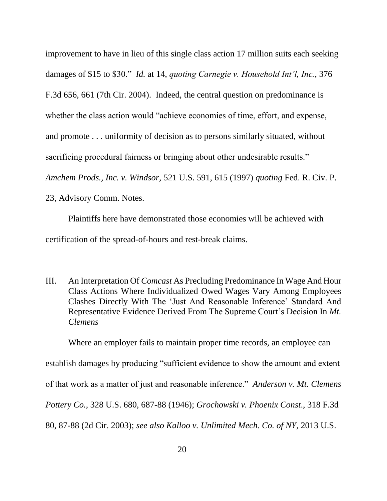improvement to have in lieu of this single class action 17 million suits each seeking damages of \$15 to \$30." *Id.* at 14, *quoting Carnegie v. Household Int'l, Inc.*, 376 F.3d 656, 661 (7th Cir. 2004). Indeed, the central question on predominance is whether the class action would "achieve economies of time, effort, and expense, and promote . . . uniformity of decision as to persons similarly situated, without sacrificing procedural fairness or bringing about other undesirable results." *Amchem Prods., Inc. v. Windsor*, 521 U.S. 591, 615 (1997) *quoting* Fed. R. Civ. P. 23, Advisory Comm. Notes.

Plaintiffs here have demonstrated those economies will be achieved with certification of the spread-of-hours and rest-break claims.

III. An Interpretation Of *Comcast* As Precluding Predominance In Wage And Hour Class Actions Where Individualized Owed Wages Vary Among Employees Clashes Directly With The 'Just And Reasonable Inference' Standard And Representative Evidence Derived From The Supreme Court's Decision In *Mt. Clemens*

Where an employer fails to maintain proper time records, an employee can establish damages by producing "sufficient evidence to show the amount and extent of that work as a matter of just and reasonable inference." *Anderson v. Mt. Clemens Pottery Co.,* 328 U.S. 680, 687-88 (1946); *Grochowski v. Phoenix Const*., 318 F.3d 80, 87-88 (2d Cir. 2003); *see also Kalloo v. Unlimited Mech. Co. of NY,* 2013 U.S.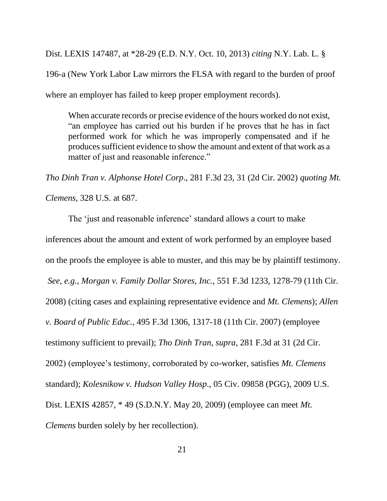Dist. LEXIS 147487, at \*28-29 (E.D. N.Y. Oct. 10, 2013) *citing* N.Y. Lab. L. § 196-a (New York Labor Law mirrors the FLSA with regard to the burden of proof where an employer has failed to keep proper employment records).

When accurate records or precise evidence of the hours worked do not exist, "an employee has carried out his burden if he proves that he has in fact performed work for which he was improperly compensated and if he produces sufficient evidence to show the amount and extent of that work as a matter of just and reasonable inference."

*Tho Dinh Tran v. Alphonse Hotel Corp*., 281 F.3d 23, 31 (2d Cir. 2002) *quoting Mt.* 

*Clemens,* 328 U.S. at 687.

The 'just and reasonable inference' standard allows a court to make inferences about the amount and extent of work performed by an employee based on the proofs the employee is able to muster, and this may be by plaintiff testimony. *See, e.g., Morgan v. Family Dollar Stores, Inc.,* 551 F.3d 1233, 1278-79 (11th Cir. 2008) (citing cases and explaining representative evidence and *Mt. Clemens*); *Allen v. Board of Public Educ.,* 495 F.3d 1306, 1317-18 (11th Cir. 2007) (employee testimony sufficient to prevail); *Tho Dinh Tran, supra,* 281 F.3d at 31 (2d Cir. 2002) (employee's testimony, corroborated by co-worker, satisfies *Mt. Clemens* standard); *Kolesnikow v. Hudson Valley Hosp*., [05 Civ. 09858 \(PGG\),](https://w3.lexis.com/research2/getadoc/caselawDocketCpp.do?_m=db7049ee06662a386ddc261b349be4c8&wchp=dGLbVlW-zSkAb&_dct=1%3A05cv9858&_crt=US_DIS_NYSD&_md5=5B108D17787ED3FDC5528973350F97A4) 2009 U.S. Dist. LEXIS 42857, \* 49 (S.D.N.Y. May 20, 2009) (employee can meet *Mt. Clemens* burden solely by her recollection).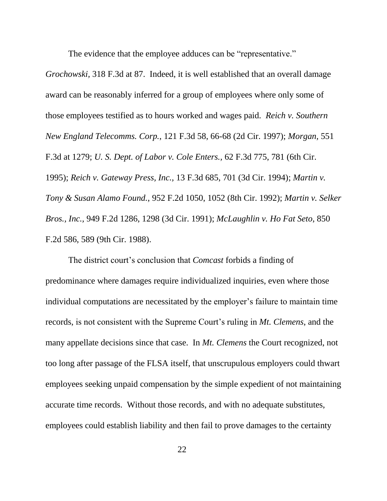The evidence that the employee adduces can be "representative."

*Grochowski,* 318 F.3d at 87. Indeed, it is well established that an overall damage award can be reasonably inferred for a group of employees where only some of those employees testified as to hours worked and wages paid. *Reich v. Southern New England Telecomms. Corp.*, 121 F.3d 58, 66-68 (2d Cir. 1997); *Morgan,* 551 F.3d at 1279; *U. S. Dept. of Labor v. Cole Enters.,* 62 F.3d 775, 781 (6th Cir. 1995); *Reich v. Gateway Press, Inc.,* 13 F.3d 685, 701 (3d Cir. 1994); *Martin v. Tony & Susan Alamo Found.*, 952 F.2d 1050, 1052 (8th Cir. 1992); *Martin v. Selker Bros., Inc.,* 949 F.2d 1286, 1298 (3d Cir. 1991); *McLaughlin v. Ho Fat Seto*, 850 F.2d 586, 589 (9th Cir. 1988).

The district court's conclusion that *Comcast* forbids a finding of predominance where damages require individualized inquiries, even where those individual computations are necessitated by the employer's failure to maintain time records, is not consistent with the Supreme Court's ruling in *Mt. Clemens*, and the many appellate decisions since that case. In *Mt. Clemens* the Court recognized, not too long after passage of the FLSA itself, that unscrupulous employers could thwart employees seeking unpaid compensation by the simple expedient of not maintaining accurate time records. Without those records, and with no adequate substitutes, employees could establish liability and then fail to prove damages to the certainty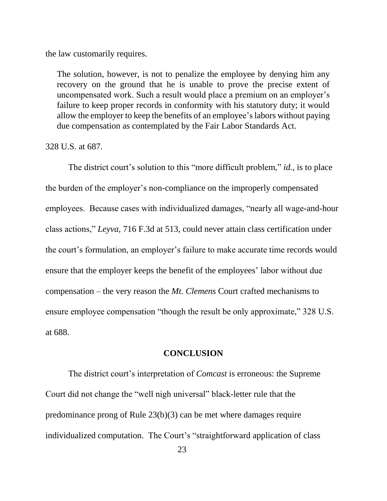the law customarily requires.

The solution, however, is not to penalize the employee by denying him any recovery on the ground that he is unable to prove the precise extent of uncompensated work. Such a result would place a premium on an employer's failure to keep proper records in conformity with his statutory duty; it would allow the employer to keep the benefits of an employee'slabors without paying due compensation as contemplated by the Fair Labor Standards Act.

328 U.S. at 687.

The district court's solution to this "more difficult problem," *id.*, is to place the burden of the employer's non-compliance on the improperly compensated employees. Because cases with individualized damages, "nearly all wage-and-hour class actions," *Leyva*, 716 F.3d at 513, could never attain class certification under the court's formulation, an employer's failure to make accurate time records would ensure that the employer keeps the benefit of the employees' labor without due compensation – the very reason the *Mt. Clemens* Court crafted mechanisms to ensure employee compensation "though the result be only approximate," 328 U.S. at 688.

#### **CONCLUSION**

The district court's interpretation of *Comcast* is erroneous: the Supreme Court did not change the "well nigh universal" black-letter rule that the predominance prong of Rule 23(b)(3) can be met where damages require individualized computation. The Court's "straightforward application of class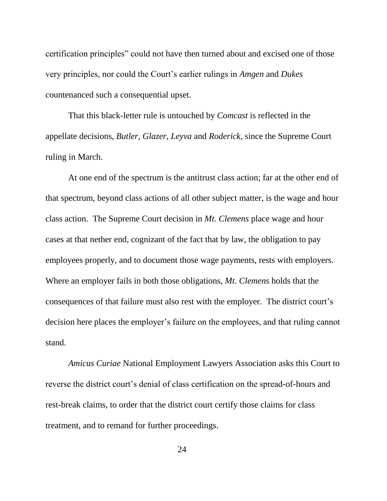certification principles" could not have then turned about and excised one of those very principles, nor could the Court's earlier rulings in *Amgen* and *Dukes* countenanced such a consequential upset.

That this black-letter rule is untouched by *Comcast* is reflected in the appellate decisions, *Butler, Glazer, Leyva* and *Roderick*, since the Supreme Court ruling in March.

At one end of the spectrum is the antitrust class action; far at the other end of that spectrum, beyond class actions of all other subject matter, is the wage and hour class action. The Supreme Court decision in *Mt. Clemens* place wage and hour cases at that nether end, cognizant of the fact that by law, the obligation to pay employees properly, and to document those wage payments, rests with employers. Where an employer fails in both those obligations, *Mt. Clemens* holds that the consequences of that failure must also rest with the employer. The district court's decision here places the employer's failure on the employees, and that ruling cannot stand.

*Amicus Curiae* National Employment Lawyers Association asks this Court to reverse the district court's denial of class certification on the spread-of-hours and rest-break claims, to order that the district court certify those claims for class treatment, and to remand for further proceedings.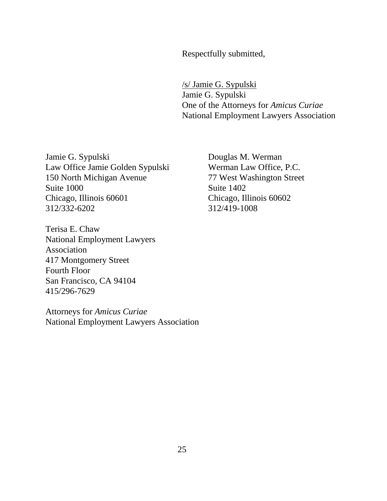Respectfully submitted,

/s/ Jamie G. Sypulski Jamie G. Sypulski One of the Attorneys for *Amicus Curiae*  National Employment Lawyers Association

Jamie G. Sypulski Law Office Jamie Golden Sypulski 150 North Michigan Avenue Suite 1000 Chicago, Illinois 60601 312/332-6202

Terisa E. Chaw National Employment Lawyers Association 417 Montgomery Street Fourth Floor San Francisco, CA 94104 415/296-7629

Attorneys for *Amicus Curiae* National Employment Lawyers Association Douglas M. Werman Werman Law Office, P.C. 77 West Washington Street Suite 1402 Chicago, Illinois 60602 312/419-1008